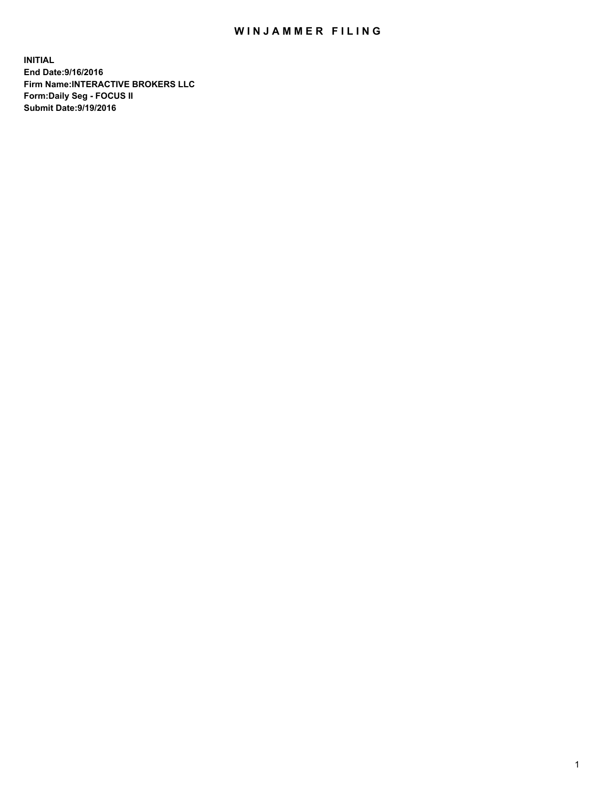## WIN JAMMER FILING

**INITIAL End Date:9/16/2016 Firm Name:INTERACTIVE BROKERS LLC Form:Daily Seg - FOCUS II Submit Date:9/19/2016**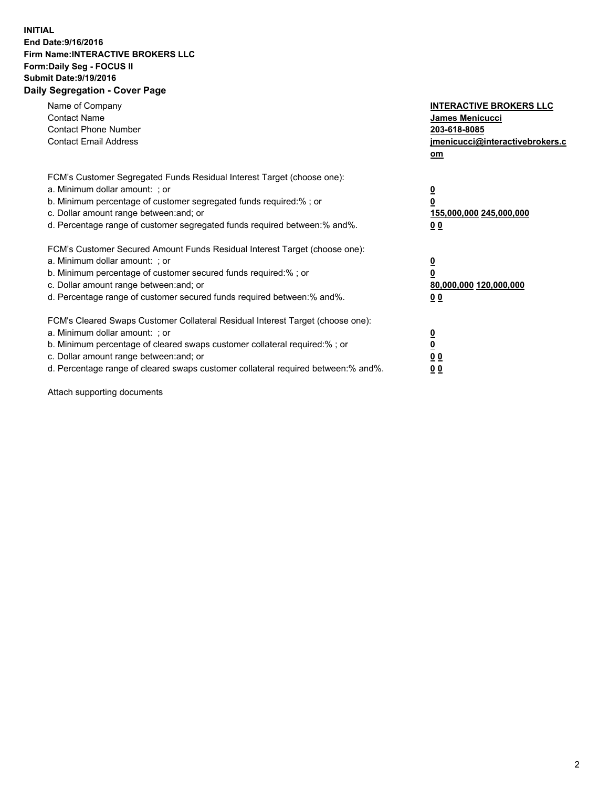## **INITIAL End Date:9/16/2016 Firm Name:INTERACTIVE BROKERS LLC Form:Daily Seg - FOCUS II Submit Date:9/19/2016 Daily Segregation - Cover Page**

| Name of Company<br><b>Contact Name</b><br><b>Contact Phone Number</b><br><b>Contact Email Address</b>                                                                                                                                                                                                                          | <b>INTERACTIVE BROKERS LLC</b><br><b>James Menicucci</b><br>203-618-8085<br>jmenicucci@interactivebrokers.c<br>om |
|--------------------------------------------------------------------------------------------------------------------------------------------------------------------------------------------------------------------------------------------------------------------------------------------------------------------------------|-------------------------------------------------------------------------------------------------------------------|
| FCM's Customer Segregated Funds Residual Interest Target (choose one):<br>a. Minimum dollar amount: ; or<br>b. Minimum percentage of customer segregated funds required:% ; or<br>c. Dollar amount range between: and; or<br>d. Percentage range of customer segregated funds required between: % and %.                       | $\overline{\mathbf{0}}$<br>0<br>155,000,000 245,000,000<br>00                                                     |
| FCM's Customer Secured Amount Funds Residual Interest Target (choose one):<br>a. Minimum dollar amount: ; or<br>b. Minimum percentage of customer secured funds required:%; or<br>c. Dollar amount range between: and; or<br>d. Percentage range of customer secured funds required between: % and %.                          | $\overline{\mathbf{0}}$<br>0<br>80,000,000 120,000,000<br>0 <sub>0</sub>                                          |
| FCM's Cleared Swaps Customer Collateral Residual Interest Target (choose one):<br>a. Minimum dollar amount: ; or<br>b. Minimum percentage of cleared swaps customer collateral required:% ; or<br>c. Dollar amount range between: and; or<br>d. Percentage range of cleared swaps customer collateral required between:% and%. | $\overline{\mathbf{0}}$<br>$\underline{\mathbf{0}}$<br>0 <sub>0</sub><br>0 <sub>0</sub>                           |

Attach supporting documents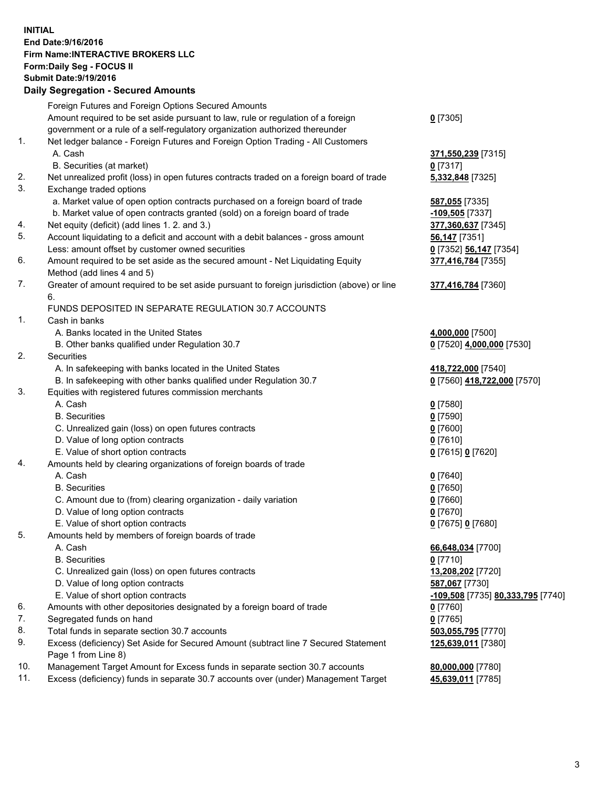## **INITIAL End Date:9/16/2016 Firm Name:INTERACTIVE BROKERS LLC Form:Daily Seg - FOCUS II Submit Date:9/19/2016 Daily Segregation - Secured Amounts**

|     | Daily Segregation - Secured Amounts                                                                        |                                   |
|-----|------------------------------------------------------------------------------------------------------------|-----------------------------------|
|     | Foreign Futures and Foreign Options Secured Amounts                                                        |                                   |
|     | Amount required to be set aside pursuant to law, rule or regulation of a foreign                           | $0$ [7305]                        |
|     | government or a rule of a self-regulatory organization authorized thereunder                               |                                   |
| 1.  | Net ledger balance - Foreign Futures and Foreign Option Trading - All Customers                            |                                   |
|     | A. Cash                                                                                                    | 371,550,239 [7315]                |
|     | B. Securities (at market)                                                                                  | $0$ [7317]                        |
| 2.  | Net unrealized profit (loss) in open futures contracts traded on a foreign board of trade                  | 5,332,848 [7325]                  |
| 3.  | Exchange traded options                                                                                    |                                   |
|     | a. Market value of open option contracts purchased on a foreign board of trade                             | 587,055 [7335]                    |
|     | b. Market value of open contracts granted (sold) on a foreign board of trade                               | -109,505 [7337]                   |
| 4.  | Net equity (deficit) (add lines 1.2. and 3.)                                                               | 377,360,637 [7345]                |
| 5.  | Account liquidating to a deficit and account with a debit balances - gross amount                          | 56,147 [7351]                     |
|     | Less: amount offset by customer owned securities                                                           | 0 [7352] 56,147 [7354]            |
| 6.  | Amount required to be set aside as the secured amount - Net Liquidating Equity                             | 377,416,784 [7355]                |
|     | Method (add lines 4 and 5)                                                                                 |                                   |
| 7.  | Greater of amount required to be set aside pursuant to foreign jurisdiction (above) or line                | 377,416,784 [7360]                |
|     | 6.                                                                                                         |                                   |
|     | FUNDS DEPOSITED IN SEPARATE REGULATION 30.7 ACCOUNTS                                                       |                                   |
| 1.  | Cash in banks                                                                                              |                                   |
|     | A. Banks located in the United States                                                                      | 4,000,000 [7500]                  |
|     | B. Other banks qualified under Regulation 30.7                                                             | 0 [7520] 4,000,000 [7530]         |
| 2.  | Securities                                                                                                 |                                   |
|     | A. In safekeeping with banks located in the United States                                                  | 418,722,000 [7540]                |
|     | B. In safekeeping with other banks qualified under Regulation 30.7                                         | 0 [7560] 418,722,000 [7570]       |
| 3.  | Equities with registered futures commission merchants                                                      |                                   |
|     | A. Cash                                                                                                    | $0$ [7580]                        |
|     | <b>B.</b> Securities                                                                                       | $0$ [7590]                        |
|     | C. Unrealized gain (loss) on open futures contracts                                                        | $0$ [7600]                        |
|     | D. Value of long option contracts                                                                          | $0$ [7610]                        |
|     | E. Value of short option contracts                                                                         | 0 [7615] 0 [7620]                 |
| 4.  | Amounts held by clearing organizations of foreign boards of trade                                          |                                   |
|     | A. Cash                                                                                                    | $0$ [7640]                        |
|     | <b>B.</b> Securities                                                                                       | $0$ [7650]                        |
|     | C. Amount due to (from) clearing organization - daily variation                                            | $0$ [7660]                        |
|     | D. Value of long option contracts                                                                          | $0$ [7670]                        |
|     | E. Value of short option contracts                                                                         | 0 [7675] 0 [7680]                 |
| 5.  | Amounts held by members of foreign boards of trade                                                         |                                   |
|     | A. Cash                                                                                                    | 66,648,034 [7700]                 |
|     | <b>B.</b> Securities                                                                                       | $0$ [7710]                        |
|     | C. Unrealized gain (loss) on open futures contracts                                                        | 13,208,202 [7720]                 |
|     | D. Value of long option contracts                                                                          | 587,067 [7730]                    |
|     | E. Value of short option contracts                                                                         | -109,508 [7735] 80,333,795 [7740] |
| 6.  | Amounts with other depositories designated by a foreign board of trade                                     | 0 [7760]                          |
| 7.  | Segregated funds on hand                                                                                   | $0$ [7765]                        |
| 8.  | Total funds in separate section 30.7 accounts                                                              | 503,055,795 [7770]                |
| 9.  | Excess (deficiency) Set Aside for Secured Amount (subtract line 7 Secured Statement<br>Page 1 from Line 8) | 125,639,011 [7380]                |
| 10. | Management Target Amount for Excess funds in separate section 30.7 accounts                                | 80,000,000 [7780]                 |
| 11. | Excess (deficiency) funds in separate 30.7 accounts over (under) Management Target                         | 45,639,011 [7785]                 |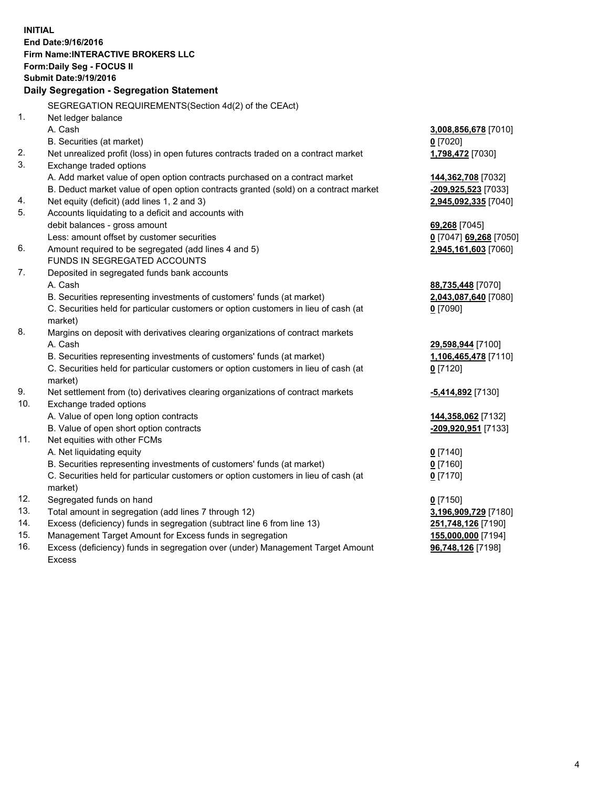**INITIAL End Date:9/16/2016 Firm Name:INTERACTIVE BROKERS LLC Form:Daily Seg - FOCUS II Submit Date:9/19/2016 Daily Segregation - Segregation Statement** SEGREGATION REQUIREMENTS(Section 4d(2) of the CEAct) 1. Net ledger balance A. Cash **3,008,856,678** [7010] B. Securities (at market) **0** [7020] 2. Net unrealized profit (loss) in open futures contracts traded on a contract market **1,798,472** [7030] 3. Exchange traded options A. Add market value of open option contracts purchased on a contract market **144,362,708** [7032] B. Deduct market value of open option contracts granted (sold) on a contract market **-209,925,523** [7033] 4. Net equity (deficit) (add lines 1, 2 and 3) **2,945,092,335** [7040] 5. Accounts liquidating to a deficit and accounts with debit balances - gross amount **69,268** [7045] Less: amount offset by customer securities **0** [7047] **69,268** [7050] 6. Amount required to be segregated (add lines 4 and 5) **2,945,161,603** [7060] FUNDS IN SEGREGATED ACCOUNTS 7. Deposited in segregated funds bank accounts A. Cash **88,735,448** [7070] B. Securities representing investments of customers' funds (at market) **2,043,087,640** [7080] C. Securities held for particular customers or option customers in lieu of cash (at market) **0** [7090] 8. Margins on deposit with derivatives clearing organizations of contract markets A. Cash **29,598,944** [7100] B. Securities representing investments of customers' funds (at market) **1,106,465,478** [7110] C. Securities held for particular customers or option customers in lieu of cash (at market) **0** [7120] 9. Net settlement from (to) derivatives clearing organizations of contract markets **-5,414,892** [7130] 10. Exchange traded options A. Value of open long option contracts **144,358,062** [7132] B. Value of open short option contracts **-209,920,951** [7133] 11. Net equities with other FCMs A. Net liquidating equity **0** [7140] B. Securities representing investments of customers' funds (at market) **0** [7160] C. Securities held for particular customers or option customers in lieu of cash (at market) **0** [7170] 12. Segregated funds on hand **0** [7150] 13. Total amount in segregation (add lines 7 through 12) **3,196,909,729** [7180] 14. Excess (deficiency) funds in segregation (subtract line 6 from line 13) **251,748,126** [7190] 15. Management Target Amount for Excess funds in segregation **155,000,000** [7194] **96,748,126** [7198]

16. Excess (deficiency) funds in segregation over (under) Management Target Amount Excess